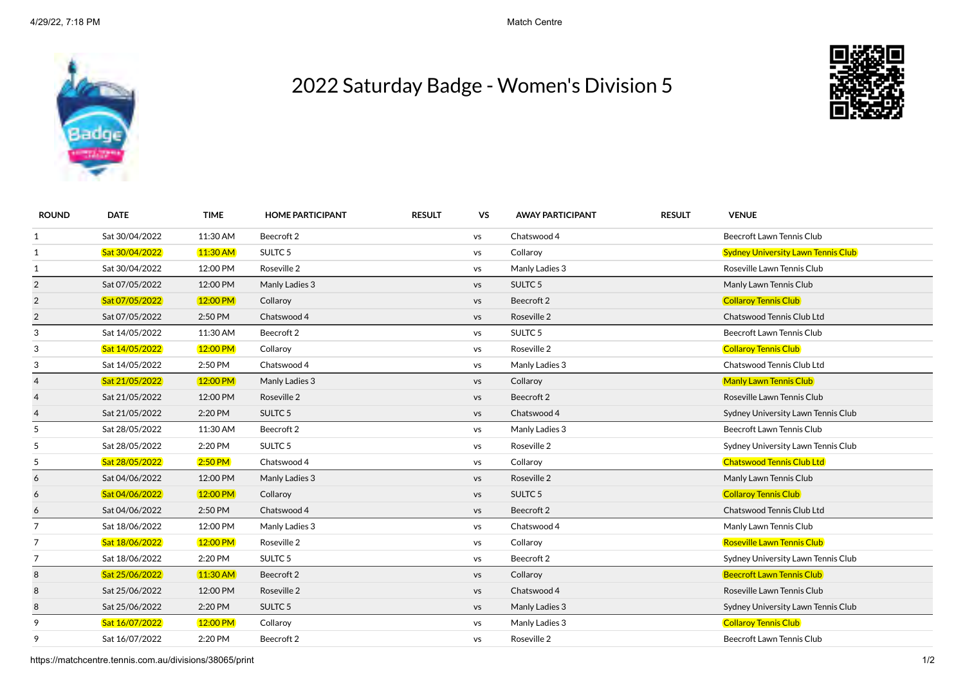



## 2022 Saturday Badge - Women's Division 5

| <b>ROUND</b>   | <b>DATE</b>    | <b>TIME</b> | <b>HOME PARTICIPANT</b> | <b>RESULT</b> | <b>VS</b> | <b>AWAY PARTICIPANT</b> | <b>RESULT</b> | <b>VENUE</b>                       |
|----------------|----------------|-------------|-------------------------|---------------|-----------|-------------------------|---------------|------------------------------------|
| 1              | Sat 30/04/2022 | 11:30 AM    | Beecroft 2              |               | <b>VS</b> | Chatswood 4             |               | Beecroft Lawn Tennis Club          |
| $\mathbf{1}$   | Sat 30/04/2022 | $11:30$ AM  | SULTC <sub>5</sub>      |               | <b>VS</b> | Collaroy                |               | Sydney University Lawn Tennis Club |
| $\mathbf{1}$   | Sat 30/04/2022 | 12:00 PM    | Roseville 2             |               | <b>VS</b> | Manly Ladies 3          |               | Roseville Lawn Tennis Club         |
| $\overline{2}$ | Sat 07/05/2022 | 12:00 PM    | Manly Ladies 3          |               | <b>VS</b> | SULTC <sub>5</sub>      |               | Manly Lawn Tennis Club             |
| $\overline{2}$ | Sat 07/05/2022 | 12:00 PM    | Collaroy                |               | <b>VS</b> | Beecroft 2              |               | <b>Collaroy Tennis Club</b>        |
| $\overline{2}$ | Sat 07/05/2022 | 2:50 PM     | Chatswood 4             |               | <b>VS</b> | Roseville 2             |               | Chatswood Tennis Club Ltd          |
| 3              | Sat 14/05/2022 | 11:30 AM    | Beecroft 2              |               | <b>VS</b> | SULTC <sub>5</sub>      |               | Beecroft Lawn Tennis Club          |
| 3              | Sat 14/05/2022 | 12:00 PM    | Collaroy                |               | <b>VS</b> | Roseville 2             |               | <b>Collaroy Tennis Club</b>        |
| 3              | Sat 14/05/2022 | 2:50 PM     | Chatswood 4             |               | VS        | Manly Ladies 3          |               | Chatswood Tennis Club Ltd          |
| $\overline{4}$ | Sat 21/05/2022 | 12:00 PM    | Manly Ladies 3          |               | <b>VS</b> | Collaroy                |               | Manly Lawn Tennis Club             |
| 4              | Sat 21/05/2022 | 12:00 PM    | Roseville 2             |               | <b>VS</b> | Beecroft 2              |               | Roseville Lawn Tennis Club         |
| 4              | Sat 21/05/2022 | 2:20 PM     | SULTC <sub>5</sub>      |               | <b>VS</b> | Chatswood 4             |               | Sydney University Lawn Tennis Club |
| 5              | Sat 28/05/2022 | 11:30 AM    | Beecroft 2              |               | <b>VS</b> | Manly Ladies 3          |               | Beecroft Lawn Tennis Club          |
| 5              | Sat 28/05/2022 | 2:20 PM     | SULTC <sub>5</sub>      |               | <b>VS</b> | Roseville 2             |               | Sydney University Lawn Tennis Club |
| 5              | Sat 28/05/2022 | $2:50$ PM   | Chatswood 4             |               | <b>VS</b> | Collaroy                |               | <b>Chatswood Tennis Club Ltd</b>   |
| 6              | Sat 04/06/2022 | 12:00 PM    | Manly Ladies 3          |               | <b>VS</b> | Roseville 2             |               | Manly Lawn Tennis Club             |
| 6              | Sat 04/06/2022 | 12:00 PM    | Collaroy                |               | <b>VS</b> | SULTC <sub>5</sub>      |               | <b>Collaroy Tennis Club</b>        |
| 6              | Sat 04/06/2022 | 2:50 PM     | Chatswood 4             |               | <b>VS</b> | Beecroft 2              |               | Chatswood Tennis Club Ltd          |
| $\overline{7}$ | Sat 18/06/2022 | 12:00 PM    | Manly Ladies 3          |               | <b>VS</b> | Chatswood 4             |               | Manly Lawn Tennis Club             |
| 7              | Sat 18/06/2022 | 12:00 PM    | Roseville 2             |               | VS        | Collaroy                |               | Roseville Lawn Tennis Club         |
|                | Sat 18/06/2022 | 2:20 PM     | SULTC <sub>5</sub>      |               | <b>VS</b> | Beecroft 2              |               | Sydney University Lawn Tennis Club |
| 8              | Sat 25/06/2022 | $11:30$ AM  | Beecroft 2              |               | VS        | Collaroy                |               | Beecroft Lawn Tennis Club          |
| 8              | Sat 25/06/2022 | 12:00 PM    | Roseville 2             |               | <b>VS</b> | Chatswood 4             |               | Roseville Lawn Tennis Club         |
| 8              | Sat 25/06/2022 | 2:20 PM     | SULTC <sub>5</sub>      |               | <b>VS</b> | Manly Ladies 3          |               | Sydney University Lawn Tennis Club |
| 9              | Sat 16/07/2022 | 12:00 PM    | Collaroy                |               | <b>VS</b> | Manly Ladies 3          |               | <b>Collaroy Tennis Club</b>        |
| 9              | Sat 16/07/2022 | 2:20 PM     | Beecroft 2              |               | <b>VS</b> | Roseville 2             |               | Beecroft Lawn Tennis Club          |

https://matchcentre.tennis.com.au/divisions/38065/print 1/2